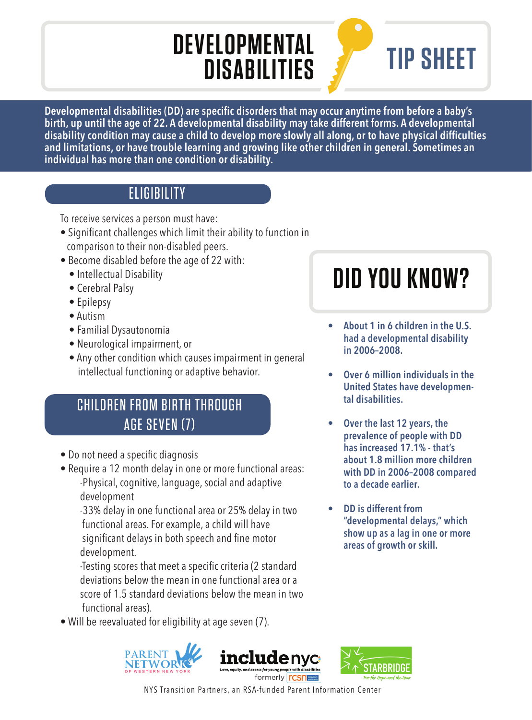## **DEVELOPMENTAL DISABILITIES**

# **TIP SHEET**

Developmental disabilities (DD) are specific disorders that may occur anytime from before a baby's **birth, up until the age of 22. A developmental disability may take different forms. A developmental**  disability condition may cause a child to develop more slowly all along, or to have physical difficulties **and limitations, or have trouble learning and growing like other children in general. Sometimes an individual has more than one condition or disability.**

### **ELIGIBILITY**

To receive services a person must have:

- Significant challenges which limit their ability to function in comparison to their non-disabled peers.
- Become disabled before the age of 22 with:
	- Intellectual Disability
	- Cerebral Palsy
	- Epilepsy
	- Autism
	- Familial Dysautonomia
	- Neurological impairment, or
	- Any other condition which causes impairment in general intellectual functioning or adaptive behavior.

### **CHILDREN FROM BIRTH THROUGH** AGE SEVEN (7)

- Do not need a specific diagnosis
- Require a 12 month delay in one or more functional areas: -Physical, cognitive, language, social and adaptive development

 -33% delay in one functional area or 25% delay in two functional areas. For example, a child will have significant delays in both speech and fine motor development.

-Testing scores that meet a specific criteria (2 standard deviations below the mean in one functional area or a score of 1.5 standard deviations below the mean in two functional areas).

• Will be reevaluated for eligibility at age seven (7).







**DID YOU KNOW?**

- **About 1 in 6 children in the U.S. had a developmental disability in 2006–2008.**
- **Over 6 million individuals in the United States have developmental disabilities.**
- **Over the last 12 years, the prevalence of people with DD has increased 17.1% - that's about 1.8 million more children with DD in 2006–2008 compared to a decade earlier.**
- **DD is different from "developmental delays," which show up as a lag in one or more areas of growth or skill.**

NYS Transition Partners, an RSA-funded Parent Information Center